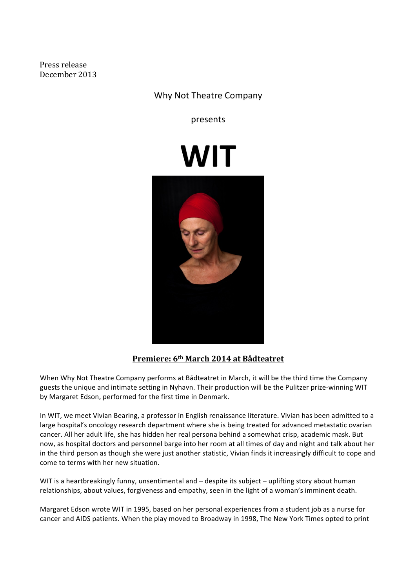Press release December 2013 

# Why Not Theatre Company

presents

# **WIT**



## **Premiere: 6th March 2014 at Bådteatret**

When Why Not Theatre Company performs at Bådteatret in March, it will be the third time the Company guests the unique and intimate setting in Nyhavn. Their production will be the Pulitzer prize-winning WIT by Margaret Edson, performed for the first time in Denmark.

In WIT, we meet Vivian Bearing, a professor in English renaissance literature. Vivian has been admitted to a large hospital's oncology research department where she is being treated for advanced metastatic ovarian cancer. All her adult life, she has hidden her real persona behind a somewhat crisp, academic mask. But now, as hospital doctors and personnel barge into her room at all times of day and night and talk about her in the third person as though she were just another statistic, Vivian finds it increasingly difficult to cope and come to terms with her new situation.

WIT is a heartbreakingly funny, unsentimental and  $-$  despite its subject  $-$  uplifting story about human relationships, about values, forgiveness and empathy, seen in the light of a woman's imminent death.

Margaret Edson wrote WIT in 1995, based on her personal experiences from a student job as a nurse for cancer and AIDS patients. When the play moved to Broadway in 1998, The New York Times opted to print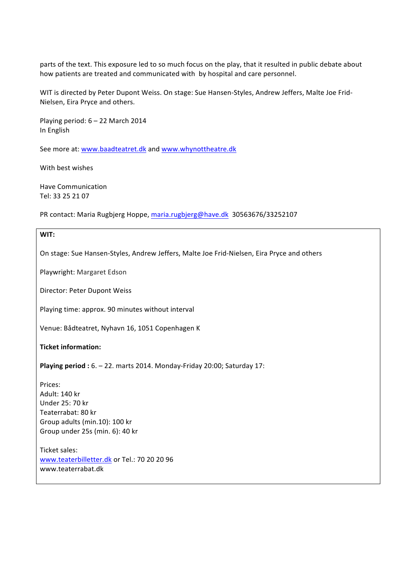parts of the text. This exposure led to so much focus on the play, that it resulted in public debate about how patients are treated and communicated with by hospital and care personnel.

WIT is directed by Peter Dupont Weiss. On stage: Sue Hansen-Styles, Andrew Jeffers, Malte Joe Frid-Nielsen, Eira Pryce and others.

Playing period:  $6 - 22$  March 2014 In English

See more at: www.baadteatret.dk and www.whynottheatre.dk

With best wishes

Have Communication Tel: 33 25 21 07

PR contact: Maria Rugbjerg Hoppe, maria.rugbjerg@have.dk 30563676/33252107

### **WIT:**

On stage: Sue Hansen-Styles, Andrew Jeffers, Malte Joe Frid-Nielsen, Eira Pryce and others

Playwright: Margaret Edson

Director: Peter Dupont Weiss

Playing time: approx. 90 minutes without interval

Venue: Bådteatret, Nyhavn 16, 1051 Copenhagen K

**Ticket information:**

**Playing period**: 6. - 22. marts 2014. Monday-Friday 20:00; Saturday 17:

Prices: Adult: 140 kr Under 25: 70 kr Teaterrabat: 80 kr Group adults (min.10): 100 kr Group under 25s (min. 6): 40 kr

Ticket sales: www.teaterbilletter.dk or Tel.: 70 20 20 96 www.teaterrabat.dk